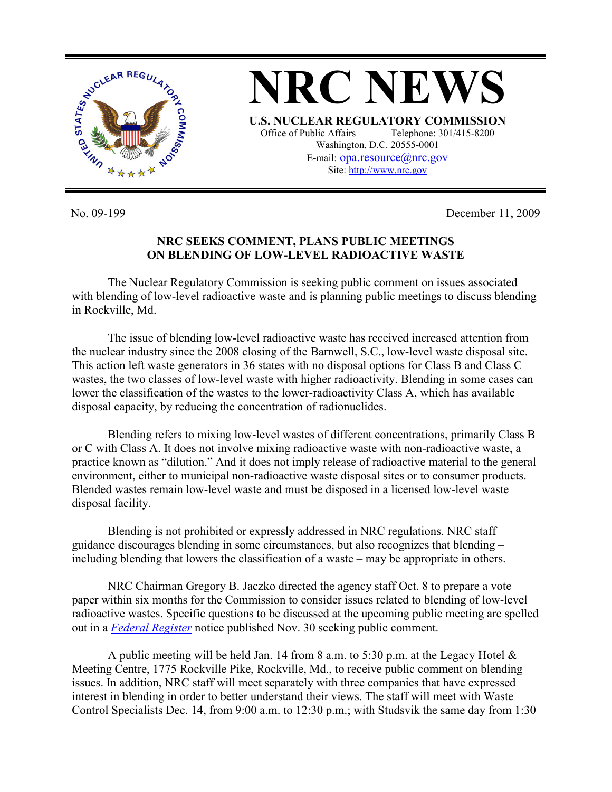

No. 09-199 December 11, 2009

## **NRC SEEKS COMMENT, PLANS PUBLIC MEETINGS ON BLENDING OF LOW-LEVEL RADIOACTIVE WASTE**

 The Nuclear Regulatory Commission is seeking public comment on issues associated with blending of low-level radioactive waste and is planning public meetings to discuss blending in Rockville, Md.

 The issue of blending low-level radioactive waste has received increased attention from the nuclear industry since the 2008 closing of the Barnwell, S.C., low-level waste disposal site. This action left waste generators in 36 states with no disposal options for Class B and Class C wastes, the two classes of low-level waste with higher radioactivity. Blending in some cases can lower the classification of the wastes to the lower-radioactivity Class A, which has available disposal capacity, by reducing the concentration of radionuclides.

 Blending refers to mixing low-level wastes of different concentrations, primarily Class B or C with Class A. It does not involve mixing radioactive waste with non-radioactive waste, a practice known as "dilution." And it does not imply release of radioactive material to the general environment, either to municipal non-radioactive waste disposal sites or to consumer products. Blended wastes remain low-level waste and must be disposed in a licensed low-level waste disposal facility.

 Blending is not prohibited or expressly addressed in NRC regulations. NRC staff guidance discourages blending in some circumstances, but also recognizes that blending – including blending that lowers the classification of a waste – may be appropriate in others.

 NRC Chairman Gregory B. Jaczko directed the agency staff Oct. 8 to prepare a vote paper within six months for the Commission to consider issues related to blending of low-level radioactive wastes. Specific questions to be discussed at the upcoming public meeting are spelled out in a *Federal Register* notice published Nov. 30 seeking public comment.

A public meeting will be held Jan. 14 from 8 a.m. to 5:30 p.m. at the Legacy Hotel  $\&$ Meeting Centre, 1775 Rockville Pike, Rockville, Md., to receive public comment on blending issues. In addition, NRC staff will meet separately with three companies that have expressed interest in blending in order to better understand their views. The staff will meet with Waste Control Specialists Dec. 14, from 9:00 a.m. to 12:30 p.m.; with Studsvik the same day from 1:30